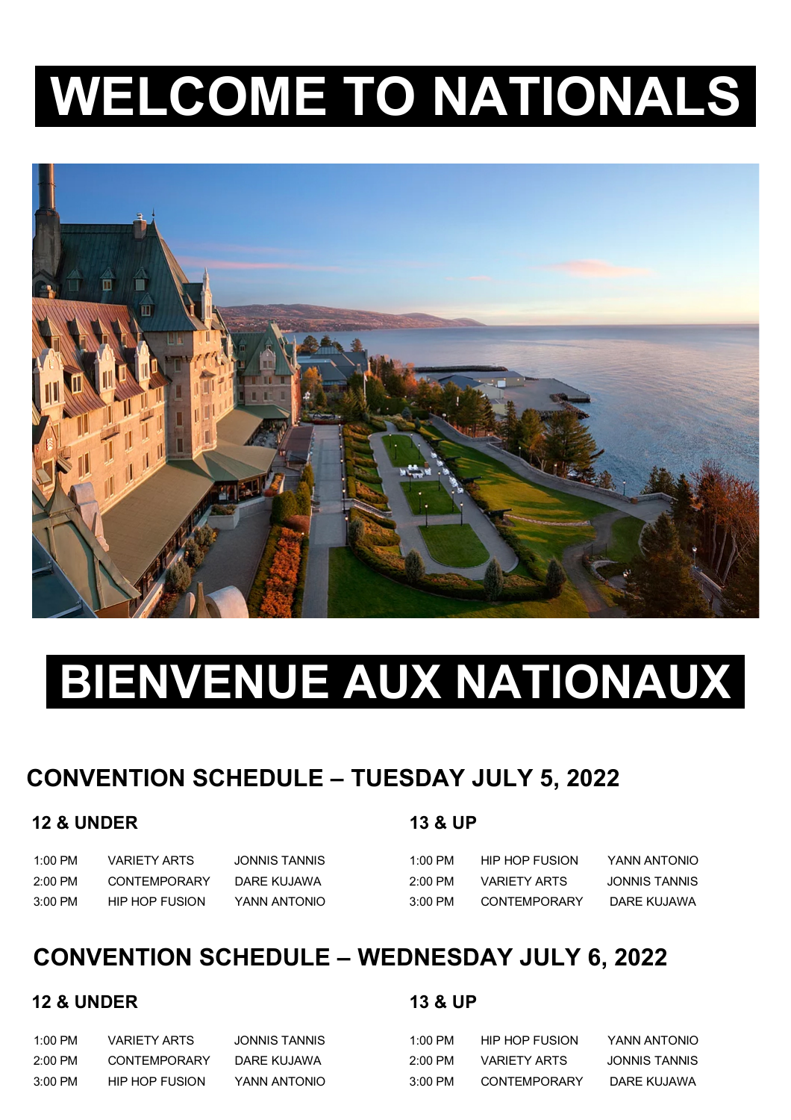# **WELCOME TO NATIONALS.**



# **BIENVENUE AUX NATIONAUX.**

## **CONVENTION SCHEDULE – TUESDAY JULY 5, 2022**

#### **12 & UNDER 13 & UP**

 1:00 PM VARIETY ARTS JONNIS TANNIS 1:00 PM HIP HOP FUSION YANN ANTONIO 2:00 PM CONTEMPORARY DARE KUJAWA 2:00 PM VARIETY ARTS JONNIS TANNIS 3:00 PM HIP HOP FUSION YANN ANTONIO 3:00 PM CONTEMPORARY DARE KUJAWA

## **CONVENTION SCHEDULE – WEDNESDAY JULY 6, 2022**

#### **12 & UNDER 13 & UP**

 1:00 PM VARIETY ARTS JONNIS TANNIS 1:00 PM HIP HOP FUSION YANN ANTONIO 2:00 PM CONTEMPORARY DARE KUJAWA 2:00 PM VARIETY ARTS JONNIS TANNIS 3:00 PM HIP HOP FUSION YANN ANTONIO 3:00 PM CONTEMPORARY DARE KUJAWA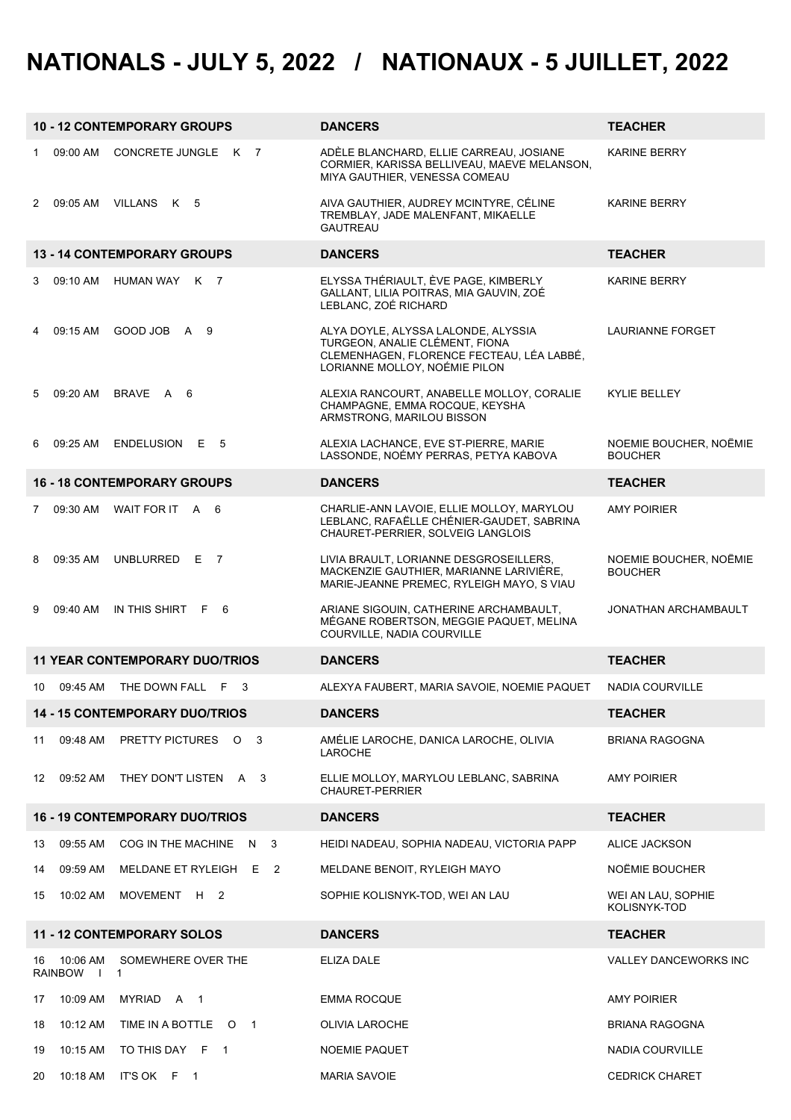# **NATIONALS - JULY 5, 2022 / NATIONAUX - 5 JUILLET, 2022**

|              |                                      | <b>10 - 12 CONTEMPORARY GROUPS</b>    | <b>DANCERS</b>                                                                                                                                      | <b>TEACHER</b>                           |
|--------------|--------------------------------------|---------------------------------------|-----------------------------------------------------------------------------------------------------------------------------------------------------|------------------------------------------|
| 1            | 09:00 AM                             | CONCRETE JUNGLE K 7                   | ADÈLE BLANCHARD, ELLIE CARREAU, JOSIANE<br>CORMIER, KARISSA BELLIVEAU, MAEVE MELANSON,<br>MIYA GAUTHIER, VENESSA COMEAU                             | <b>KARINE BERRY</b>                      |
| $\mathbf{2}$ |                                      | 09:05 AM VILLANS K 5                  | AIVA GAUTHIER, AUDREY MCINTYRE, CÉLINE<br>TREMBLAY, JADE MALENFANT, MIKAELLE<br><b>GAUTREAU</b>                                                     | <b>KARINE BERRY</b>                      |
|              |                                      | 13 - 14 CONTEMPORARY GROUPS           | <b>DANCERS</b>                                                                                                                                      | <b>TEACHER</b>                           |
| 3            | 09:10 AM                             | HUMAN WAY<br>K 7                      | ELYSSA THÉRIAULT, ÈVE PAGE, KIMBERLY<br>GALLANT, LILIA POITRAS, MIA GAUVIN, ZOÉ<br>LEBLANC, ZOÉ RICHARD                                             | <b>KARINE BERRY</b>                      |
| 4            | 09:15 AM                             | GOOD JOBA 9                           | ALYA DOYLE, ALYSSA LALONDE, ALYSSIA<br>TURGEON, ANALIE CLÉMENT, FIONA<br>CLEMENHAGEN, FLORENCE FECTEAU, LÉA LABBÉ,<br>LORIANNE MOLLOY, NOÉMIE PILON | LAURIANNE FORGET                         |
| 5            |                                      | 09:20 AM BRAVE A 6                    | ALEXIA RANCOURT, ANABELLE MOLLOY, CORALIE<br>CHAMPAGNE, EMMA ROCQUE, KEYSHA<br>ARMSTRONG, MARILOU BISSON                                            | KYLIE BELLEY                             |
| 6            | 09:25 AM                             | ENDELUSION E 5                        | ALEXIA LACHANCE, EVE ST-PIERRE, MARIE<br>LASSONDE, NOÉMY PERRAS, PETYA KABOVA                                                                       | NOEMIE BOUCHER, NOEMIE<br><b>BOUCHER</b> |
|              |                                      | <b>16 - 18 CONTEMPORARY GROUPS</b>    | <b>DANCERS</b>                                                                                                                                      | <b>TEACHER</b>                           |
| $7^{\circ}$  | 09:30 AM                             | WAIT FOR IT A 6                       | CHARLIE-ANN LAVOIE, ELLIE MOLLOY, MARYLOU<br>LEBLANC, RAFAËLLE CHÉNIER-GAUDET, SABRINA<br>CHAURET-PERRIER, SOLVEIG LANGLOIS                         | <b>AMY POIRIER</b>                       |
| 8            | 09:35 AM                             | UNBLURRED E 7                         | LIVIA BRAULT, LORIANNE DESGROSEILLERS,<br>MACKENZIE GAUTHIER, MARIANNE LARIVIÈRE,<br>MARIE-JEANNE PREMEC, RYLEIGH MAYO, S VIAU                      | NOEMIE BOUCHER, NOËMIE<br><b>BOUCHER</b> |
| 9            | 09:40 AM                             | IN THIS SHIRT F 6                     | ARIANE SIGOUIN, CATHERINE ARCHAMBAULT,                                                                                                              | JONATHAN ARCHAMBAULT                     |
|              |                                      |                                       | MÉGANE ROBERTSON, MEGGIE PAQUET, MELINA<br>COURVILLE, NADIA COURVILLE                                                                               |                                          |
|              |                                      | <b>11 YEAR CONTEMPORARY DUO/TRIOS</b> | <b>DANCERS</b>                                                                                                                                      | <b>TEACHER</b>                           |
| 10           | 09:45 AM                             | THE DOWN FALL<br>F.<br>3              | ALEXYA FAUBERT, MARIA SAVOIE, NOEMIE PAQUET                                                                                                         | <b>NADIA COURVILLE</b>                   |
|              |                                      | <b>14 - 15 CONTEMPORARY DUO/TRIOS</b> | <b>DANCERS</b>                                                                                                                                      | TEACHER                                  |
| 11           | 09:48 AM                             | PRETTY PICTURES O<br>3                | AMÉLIE LAROCHE, DANICA LAROCHE, OLIVIA<br>LAROCHE                                                                                                   | <b>BRIANA RAGOGNA</b>                    |
| 12           | 09:52 AM                             | THEY DON'T LISTEN A 3                 | ELLIE MOLLOY, MARYLOU LEBLANC, SABRINA<br><b>CHAURET-PERRIER</b>                                                                                    | AMY POIRIER                              |
|              |                                      | <b>16 - 19 CONTEMPORARY DUO/TRIOS</b> | <b>DANCERS</b>                                                                                                                                      | <b>TEACHER</b>                           |
| 13           | 09:55 AM                             | COG IN THE MACHINE<br>3<br>N          | HEIDI NADEAU, SOPHIA NADEAU, VICTORIA PAPP                                                                                                          | ALICE JACKSON                            |
| 14           | 09:59 AM                             | MELDANE ET RYLEIGH E<br>2             | MELDANE BENOIT, RYLEIGH MAYO                                                                                                                        | NOËMIE BOUCHER                           |
| 15           | 10:02 AM                             | MOVEMENT H 2                          | SOPHIE KOLISNYK-TOD, WEI AN LAU                                                                                                                     | WEI AN LAU, SOPHIE<br>KOLISNYK-TOD       |
|              |                                      | <b>11 - 12 CONTEMPORARY SOLOS</b>     | <b>DANCERS</b>                                                                                                                                      | <b>TEACHER</b>                           |
| 16           | 10:06 AM<br><b>RAINBOW</b><br>$\Box$ | SOMEWHERE OVER THE<br>$\mathbf{1}$    | ELIZA DALE                                                                                                                                          | <b>VALLEY DANCEWORKS INC</b>             |
| 17           | 10:09 AM                             | MYRIAD A<br>$\overline{1}$            | <b>EMMA ROCQUE</b>                                                                                                                                  | <b>AMY POIRIER</b>                       |
| 18           | 10:12 AM                             | TIME IN A BOTTLE O 1                  | OLIVIA LAROCHE                                                                                                                                      | <b>BRIANA RAGOGNA</b>                    |
| 19           | 10:15 AM                             | TO THIS DAY F 1                       | <b>NOEMIE PAQUET</b>                                                                                                                                | NADIA COURVILLE                          |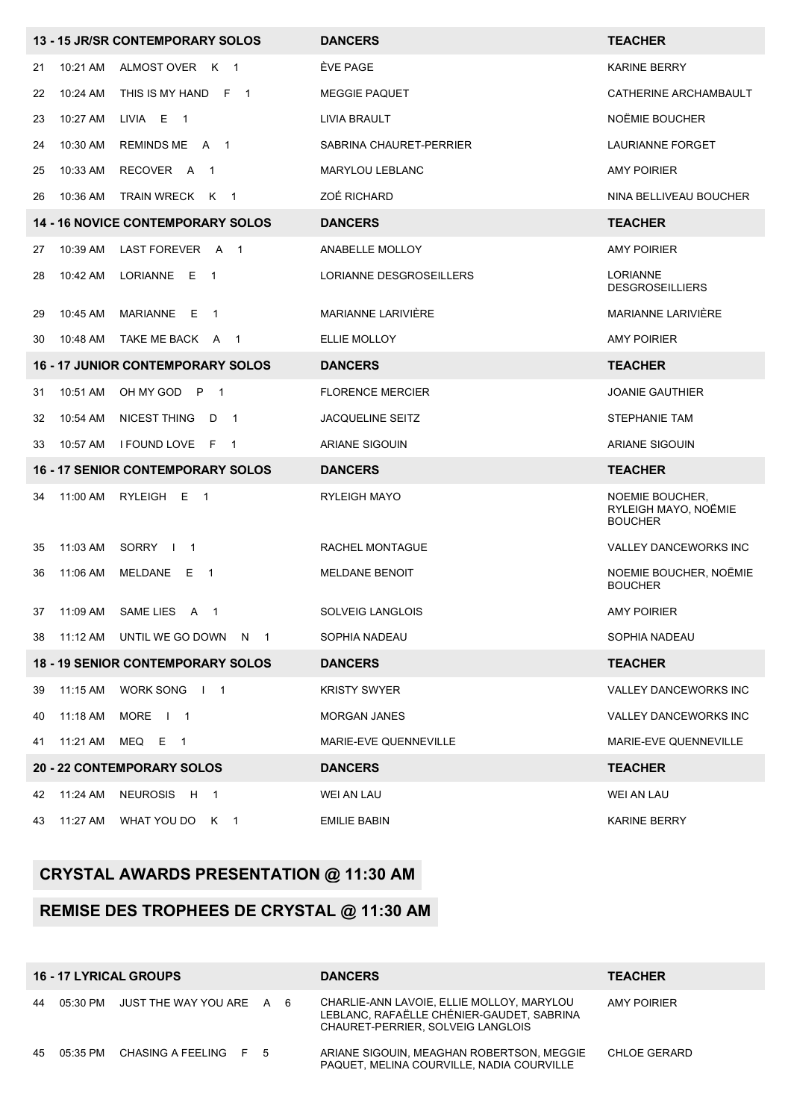|    |          | 13 - 15 JR/SR CONTEMPORARY SOLOS                   | <b>DANCERS</b>            | <b>TEACHER</b>                                            |
|----|----------|----------------------------------------------------|---------------------------|-----------------------------------------------------------|
| 21 | 10:21 AM | ALMOST OVER<br>K 1                                 | ÈVE PAGE                  | <b>KARINE BERRY</b>                                       |
| 22 | 10:24 AM | THIS IS MY HAND F 1                                | <b>MEGGIE PAQUET</b>      | CATHERINE ARCHAMBAULT                                     |
| 23 | 10:27 AM | LIVIA E<br>$\overline{\phantom{1}}$                | LIVIA BRAULT              | NOËMIE BOUCHER                                            |
| 24 | 10:30 AM | <b>REMINDS ME</b><br>A<br>$\overline{\phantom{1}}$ | SABRINA CHAURET-PERRIER   | LAURIANNE FORGET                                          |
| 25 | 10:33 AM | RECOVER A<br>$\overline{1}$                        | <b>MARYLOU LEBLANC</b>    | <b>AMY POIRIER</b>                                        |
| 26 | 10:36 AM | <b>TRAIN WRECK</b><br>K<br>$\overline{1}$          | ZOÉ RICHARD               | NINA BELLIVEAU BOUCHER                                    |
|    |          | <b>14 - 16 NOVICE CONTEMPORARY SOLOS</b>           | <b>DANCERS</b>            | <b>TEACHER</b>                                            |
| 27 | 10:39 AM | LAST FOREVER A<br>$\overline{\phantom{1}}$         | ANABELLE MOLLOY           | <b>AMY POIRIER</b>                                        |
| 28 | 10:42 AM | LORIANNE<br>Е<br>$\overline{1}$                    | LORIANNE DESGROSEILLERS   | <b>LORIANNE</b><br><b>DESGROSEILLIERS</b>                 |
| 29 | 10:45 AM | MARIANNE E<br>$\overline{1}$                       | <b>MARIANNE LARIVIERE</b> | <b>MARIANNE LARIVIERE</b>                                 |
| 30 | 10:48 AM | TAKE ME BACK A<br>$\mathbf{1}$                     | ELLIE MOLLOY              | <b>AMY POIRIER</b>                                        |
|    |          | <b>16 - 17 JUNIOR CONTEMPORARY SOLOS</b>           | <b>DANCERS</b>            | <b>TEACHER</b>                                            |
| 31 | 10:51 AM | OH MY GOD<br>$\mathsf{P}$<br>$\overline{1}$        | <b>FLORENCE MERCIER</b>   | <b>JOANIE GAUTHIER</b>                                    |
| 32 | 10:54 AM | NICEST THING<br>$\overline{\phantom{0}}$<br>D      | <b>JACQUELINE SEITZ</b>   | STEPHANIE TAM                                             |
|    |          |                                                    |                           |                                                           |
| 33 | 10:57 AM | I FOUND LOVE<br>- F<br>$\overline{1}$              | <b>ARIANE SIGOUIN</b>     | <b>ARIANE SIGOUIN</b>                                     |
|    |          | <b>16 - 17 SENIOR CONTEMPORARY SOLOS</b>           | <b>DANCERS</b>            | <b>TEACHER</b>                                            |
| 34 | 11:00 AM | RYLEIGH<br>E<br>$\overline{\phantom{1}}$           | <b>RYLEIGH MAYO</b>       | NOEMIE BOUCHER.<br>RYLEIGH MAYO, NOËMIE<br><b>BOUCHER</b> |
| 35 | 11:03 AM | SORRY<br>$\overline{\phantom{1}}$<br>$\Box$        | RACHEL MONTAGUE           | VALLEY DANCEWORKS INC                                     |
| 36 | 11:06 AM | MELDANE<br>E<br>$\overline{1}$                     | <b>MELDANE BENOIT</b>     | NOEMIE BOUCHER, NOËMIE<br><b>BOUCHER</b>                  |
| 37 | 11:09 AM | SAME LIES<br>A 1                                   | <b>SOLVEIG LANGLOIS</b>   | <b>AMY POIRIER</b>                                        |
| 38 | 11:12 AM | UNTIL WE GO DOWN N 1                               | SOPHIA NADEAU             | SOPHIA NADEAU                                             |
|    |          | <b>18 - 19 SENIOR CONTEMPORARY SOLOS</b>           | <b>DANCERS</b>            | <b>TEACHER</b>                                            |
| 39 | 11:15 AM | WORK SONG   1                                      | <b>KRISTY SWYER</b>       | VALLEY DANCEWORKS INC                                     |
| 40 | 11:18 AM | MORE   1                                           | <b>MORGAN JANES</b>       | VALLEY DANCEWORKS INC                                     |
| 41 | 11:21 AM | MEQ E<br>$\overline{1}$                            | MARIE-EVE QUENNEVILLE     | MARIE-EVE QUENNEVILLE                                     |
|    |          | <b>20 - 22 CONTEMPORARY SOLOS</b>                  | <b>DANCERS</b>            | <b>TEACHER</b>                                            |
| 42 | 11:24 AM | <b>NEUROSIS</b><br>H 1                             | WEI AN LAU                | WEI AN LAU                                                |

#### **CRYSTAL AWARDS PRESENTATION @ 11:30 AM**

#### **REMISE DES TROPHÉES DE CRYSTAL @ 11:30 AM**

| <b>16 - 17 LYRICAL GROUPS</b> |  |                                      |  |  | <b>DANCERS</b>                                                                                                              | <b>TEACHER</b> |
|-------------------------------|--|--------------------------------------|--|--|-----------------------------------------------------------------------------------------------------------------------------|----------------|
|                               |  | 44 05:30 PM JUST THE WAY YOU ARE A 6 |  |  | CHARLIE-ANN LAVOIE, ELLIE MOLLOY, MARYLOU<br>LEBLANC, RAFAËLLE CHÉNIER-GAUDET, SABRINA<br>CHAURET-PERRIER, SOLVEIG LANGLOIS | AMY POIRIER    |
|                               |  | 45 05:35 PM CHASING A FEELING F 5    |  |  | ARIANE SIGOUIN. MEAGHAN ROBERTSON, MEGGIE<br>PAQUET. MELINA COURVILLE. NADIA COURVILLE                                      | CHLOE GERARD   |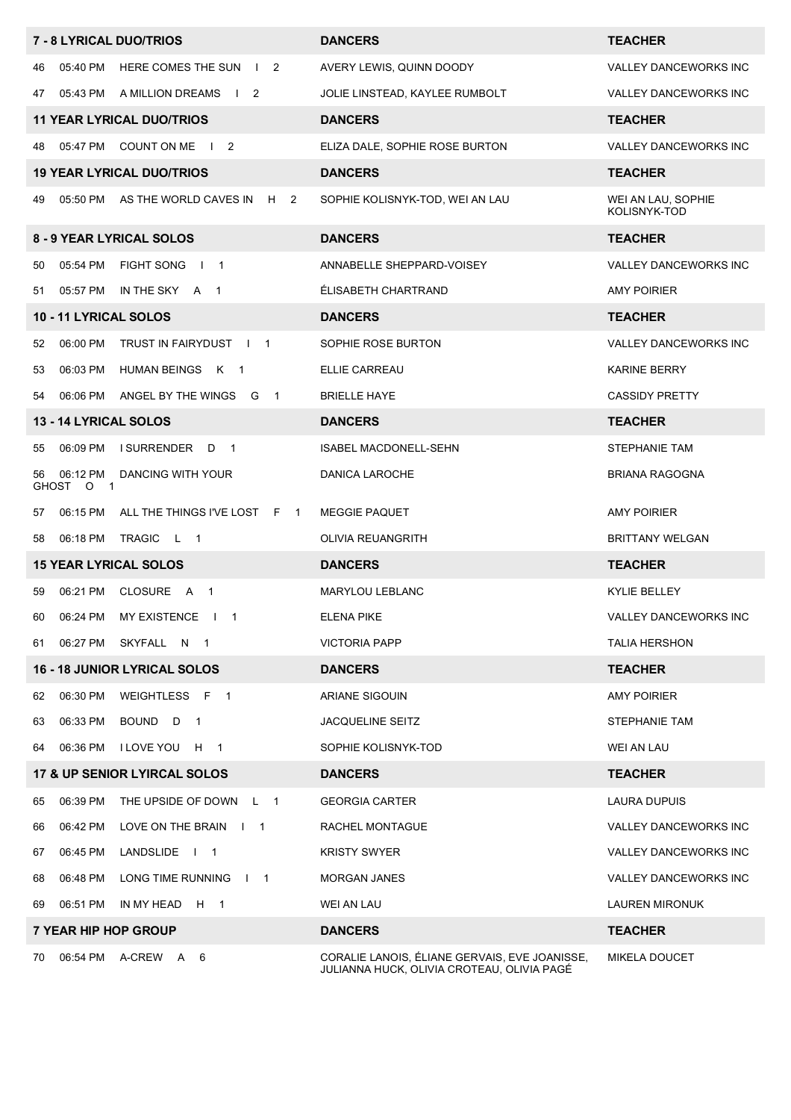|    |                       | 7 - 8 LYRICAL DUO/TRIOS                                    | <b>DANCERS</b>                                                                              | <b>TEACHER</b>                     |
|----|-----------------------|------------------------------------------------------------|---------------------------------------------------------------------------------------------|------------------------------------|
| 46 | 05:40 PM              | HERE COMES THE SUN<br>$\begin{array}{ccc} & 2 \end{array}$ | AVERY LEWIS, QUINN DOODY                                                                    | VALLEY DANCEWORKS INC              |
| 47 | 05:43 PM              | A MILLION DREAMS<br>$\frac{1}{2}$                          | JOLIE LINSTEAD, KAYLEE RUMBOLT                                                              | VALLEY DANCEWORKS INC              |
|    |                       | <b>11 YEAR LYRICAL DUO/TRIOS</b>                           | <b>DANCERS</b>                                                                              | <b>TEACHER</b>                     |
| 48 | 05:47 PM              | COUNT ON ME<br>$\begin{array}{ccc} & 2 \end{array}$        | ELIZA DALE, SOPHIE ROSE BURTON                                                              | <b>VALLEY DANCEWORKS INC</b>       |
|    |                       | <b>19 YEAR LYRICAL DUO/TRIOS</b>                           | <b>DANCERS</b>                                                                              | <b>TEACHER</b>                     |
| 49 |                       | 05:50 PM AS THE WORLD CAVES IN<br>2<br>H                   | SOPHIE KOLISNYK-TOD, WEI AN LAU                                                             | WEI AN LAU, SOPHIE<br>KOLISNYK-TOD |
|    |                       | 8 - 9 YEAR LYRICAL SOLOS                                   | <b>DANCERS</b>                                                                              | <b>TEACHER</b>                     |
| 50 | 05:54 PM              | <b>FIGHT SONG</b><br>$\sqrt{1}$                            | ANNABELLE SHEPPARD-VOISEY                                                                   | VALLEY DANCEWORKS INC              |
| 51 |                       | 05:57 PM IN THE SKY A 1                                    | ÉLISABETH CHARTRAND                                                                         | <b>AMY POIRIER</b>                 |
|    | 10 - 11 LYRICAL SOLOS |                                                            | <b>DANCERS</b>                                                                              | <b>TEACHER</b>                     |
| 52 | 06:00 PM              | TRUST IN FAIRYDUST   1                                     | SOPHIE ROSE BURTON                                                                          | <b>VALLEY DANCEWORKS INC</b>       |
| 53 | 06:03 PM              | HUMAN BEINGS K 1                                           | ELLIE CARREAU                                                                               | <b>KARINE BERRY</b>                |
| 54 | 06:06 PM              | ANGEL BY THE WINGS G<br>$\overline{1}$                     | <b>BRIELLE HAYE</b>                                                                         | <b>CASSIDY PRETTY</b>              |
|    | 13 - 14 LYRICAL SOLOS |                                                            | <b>DANCERS</b>                                                                              | <b>TEACHER</b>                     |
| 55 | 06:09 PM              | <b>I SURRENDER</b><br>D<br>$\overline{1}$                  | ISABEL MACDONELL-SEHN                                                                       | STEPHANIE TAM                      |
| 56 | 06:12 PM<br>GHOST O 1 | DANCING WITH YOUR                                          | DANICA LAROCHE                                                                              | BRIANA RAGOGNA                     |
| 57 | 06:15 PM              | ALL THE THINGS I'VE LOST F 1                               | <b>MEGGIE PAQUET</b>                                                                        | <b>AMY POIRIER</b>                 |
| 58 | 06:18 PM              | TRAGIC<br>$\mathsf{L}$<br>$\overline{\phantom{0}}$         | OLIVIA REUANGRITH                                                                           | <b>BRITTANY WELGAN</b>             |
|    |                       | <b>15 YEAR LYRICAL SOLOS</b>                               | <b>DANCERS</b>                                                                              | <b>TEACHER</b>                     |
| 59 | 06:21 PM              | CLOSURE A 1                                                | <b>MARYLOU LEBLANC</b>                                                                      | KYLIE BELLEY                       |
| 60 |                       | 06:24 PM MY EXISTENCE   1                                  | <b>ELENA PIKE</b>                                                                           | VALLEY DANCEWORKS INC              |
| 61 | 06:27 PM              | SKYFALL N 1                                                | <b>VICTORIA PAPP</b>                                                                        | <b>TALIA HERSHON</b>               |
|    |                       | <b>16 - 18 JUNIOR LYRICAL SOLOS</b>                        | <b>DANCERS</b>                                                                              | <b>TEACHER</b>                     |
| 62 | 06:30 PM              | WEIGHTLESS F<br>$\overline{1}$                             | ARIANE SIGOUIN                                                                              | <b>AMY POIRIER</b>                 |
| 63 | 06:33 PM              | BOUND D<br>$\overline{1}$                                  | <b>JACQUELINE SEITZ</b>                                                                     | STEPHANIE TAM                      |
| 64 | 06:36 PM              | <b>I LOVE YOU</b><br>H<br>$\overline{1}$                   | SOPHIE KOLISNYK-TOD                                                                         | WEI AN LAU                         |
|    |                       | 17 & UP SENIOR LYIRCAL SOLOS                               | <b>DANCERS</b>                                                                              | <b>TEACHER</b>                     |
| 65 | 06:39 PM              | THE UPSIDE OF DOWN<br>L 1                                  | <b>GEORGIA CARTER</b>                                                                       | LAURA DUPUIS                       |
| 66 | 06:42 PM              | LOVE ON THE BRAIN   1                                      | RACHEL MONTAGUE                                                                             | VALLEY DANCEWORKS INC              |
| 67 | 06:45 PM              | LANDSLIDE   1                                              | <b>KRISTY SWYER</b>                                                                         | <b>VALLEY DANCEWORKS INC</b>       |
| 68 | 06:48 PM              | LONG TIME RUNNING<br>$\begin{array}{ccc} \end{array}$      | <b>MORGAN JANES</b>                                                                         | VALLEY DANCEWORKS INC              |
| 69 | 06:51 PM              | IN MY HEAD<br>H<br>$\overline{1}$                          | WEI AN LAU                                                                                  | <b>LAUREN MIRONUK</b>              |
|    |                       | <b>7 YEAR HIP HOP GROUP</b>                                | <b>DANCERS</b>                                                                              | <b>TEACHER</b>                     |
| 70 | 06:54 PM              | A-CREW A<br>- 6                                            | CORALIE LANOIS, ÉLIANE GERVAIS, EVE JOANISSE,<br>JULIANNA HUCK, OLIVIA CROTEAU, OLIVIA PAGÉ | <b>MIKELA DOUCET</b>               |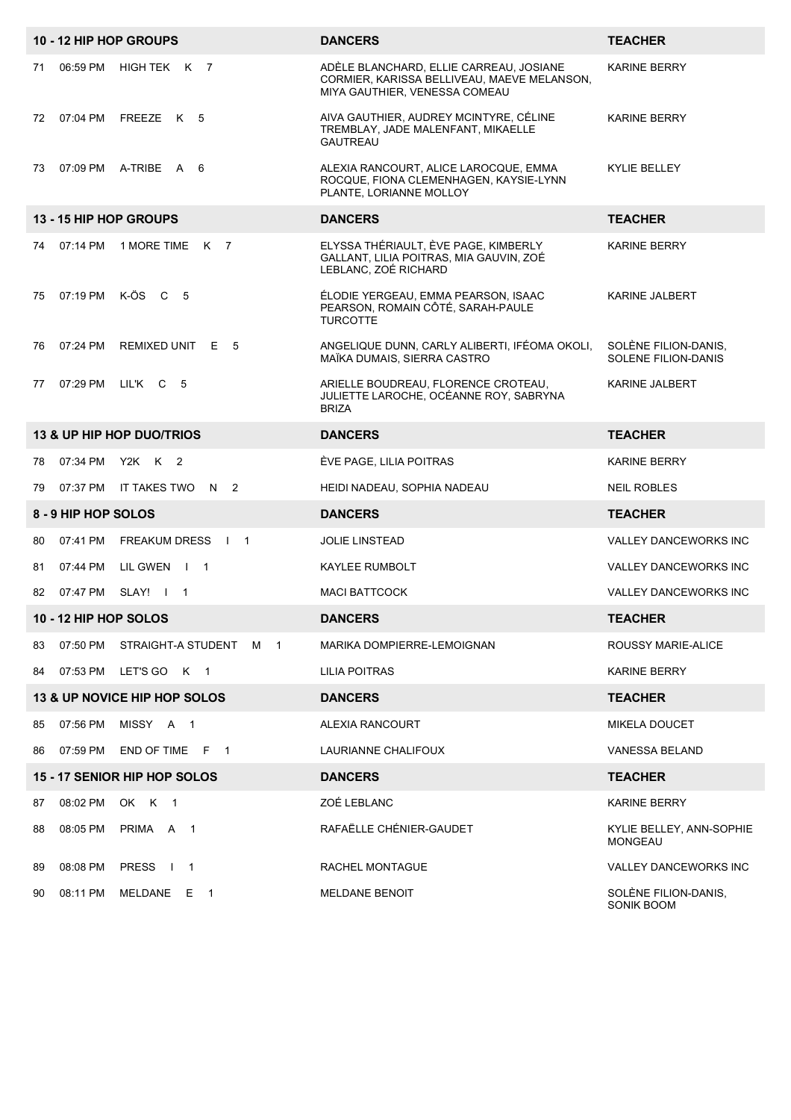|    |                       | 10 - 12 HIP HOP GROUPS                         | <b>DANCERS</b>                                                                                                          | <b>TEACHER</b>                                     |
|----|-----------------------|------------------------------------------------|-------------------------------------------------------------------------------------------------------------------------|----------------------------------------------------|
| 71 | 06:59 PM              | HIGH TEK K 7                                   | ADÈLE BLANCHARD, ELLIE CARREAU, JOSIANE<br>CORMIER, KARISSA BELLIVEAU, MAEVE MELANSON,<br>MIYA GAUTHIER, VENESSA COMEAU | <b>KARINE BERRY</b>                                |
| 72 | 07:04 PM              | FREEZE K 5                                     | AIVA GAUTHIER, AUDREY MCINTYRE, CÉLINE<br>TREMBLAY, JADE MALENFANT, MIKAELLE<br><b>GAUTREAU</b>                         | <b>KARINE BERRY</b>                                |
| 73 |                       | 07:09 PM A-TRIBE A 6                           | ALEXIA RANCOURT, ALICE LAROCQUE, EMMA<br>ROCQUE, FIONA CLEMENHAGEN, KAYSIE-LYNN<br>PLANTE, LORIANNE MOLLOY              | <b>KYLIE BELLEY</b>                                |
|    |                       | 13 - 15 HIP HOP GROUPS                         | <b>DANCERS</b>                                                                                                          | <b>TEACHER</b>                                     |
| 74 | 07:14 PM              | 1 MORE TIME<br>K 7                             | ELYSSA THÉRIAULT, ÈVE PAGE, KIMBERLY<br>GALLANT, LILIA POITRAS, MIA GAUVIN, ZOÉ<br>LEBLANC, ZOÉ RICHARD                 | <b>KARINE BERRY</b>                                |
| 75 | 07:19 PM              | K-ÖS C<br>- 5                                  | ÉLODIE YERGEAU, EMMA PEARSON, ISAAC<br>PEARSON, ROMAIN CÔTÉ, SARAH-PAULE<br><b>TURCOTTE</b>                             | KARINE JALBERT                                     |
| 76 | 07:24 PM              | REMIXED UNIT E 5                               | ANGELIQUE DUNN, CARLY ALIBERTI, IFÉOMA OKOLI,<br>MAÏKA DUMAIS, SIERRA CASTRO                                            | SOLÈNE FILION-DANIS,<br><b>SOLENE FILION-DANIS</b> |
| 77 | 07:29 PM              | LIL'K C 5                                      | ARIELLE BOUDREAU, FLORENCE CROTEAU,<br>JULIETTE LAROCHE, OCÉANNE ROY, SABRYNA<br><b>BRIZA</b>                           | <b>KARINE JALBERT</b>                              |
|    |                       | 13 & UP HIP HOP DUO/TRIOS                      | <b>DANCERS</b>                                                                                                          | <b>TEACHER</b>                                     |
| 78 | 07:34 PM              | Y2K K 2                                        | ÈVE PAGE, LILIA POITRAS                                                                                                 | <b>KARINE BERRY</b>                                |
| 79 | 07:37 PM              | IT TAKES TWO<br>N <sub>2</sub>                 | HEIDI NADEAU, SOPHIA NADEAU                                                                                             | <b>NEIL ROBLES</b>                                 |
|    | 8 - 9 HIP HOP SOLOS   |                                                | <b>DANCERS</b>                                                                                                          | <b>TEACHER</b>                                     |
| 80 | 07:41 PM              | <b>FREAKUM DRESS</b><br>$\sqrt{1}$             | <b>JOLIE LINSTEAD</b>                                                                                                   | VALLEY DANCEWORKS INC                              |
| 81 | 07:44 PM              | LIL GWEN   1                                   | KAYLEE RUMBOLT                                                                                                          | VALLEY DANCEWORKS INC                              |
| 82 |                       | 07:47 PM SLAY!   1                             | <b>MACI BATTCOCK</b>                                                                                                    | VALLEY DANCEWORKS INC                              |
|    | 10 - 12 HIP HOP SOLOS |                                                | <b>DANCERS</b>                                                                                                          | <b>TEACHER</b>                                     |
| 83 | 07:50 PM              | STRAIGHT-A STUDENT<br>1<br>м                   | MARIKA DOMPIERRE-LEMOIGNAN                                                                                              | ROUSSY MARIE-ALICE                                 |
| 84 | 07:53 PM              | LET'S GO K 1                                   | LILIA POITRAS                                                                                                           | KARINE BERRY                                       |
|    |                       | 13 & UP NOVICE HIP HOP SOLOS                   | <b>DANCERS</b>                                                                                                          | <b>TEACHER</b>                                     |
| 85 | 07:56 PM              | MISSY A 1                                      | ALEXIA RANCOURT                                                                                                         | <b>MIKELA DOUCET</b>                               |
| 86 | 07:59 PM              | END OF TIME F 1                                | LAURIANNE CHALIFOUX                                                                                                     | VANESSA BELAND                                     |
|    |                       | 15 - 17 SENIOR HIP HOP SOLOS                   | <b>DANCERS</b>                                                                                                          | <b>TEACHER</b>                                     |
| 87 | 08:02 PM              | OK K<br>$\overline{\phantom{0}}$ 1             | ZOÉ LEBLANC                                                                                                             | <b>KARINE BERRY</b>                                |
| 88 | 08:05 PM              | PRIMA A<br>$\overline{1}$                      | RAFAËLLE CHÉNIER-GAUDET                                                                                                 | KYLIE BELLEY, ANN-SOPHIE<br><b>MONGEAU</b>         |
| 89 | 08:08 PM              | <b>PRESS</b><br>$\mathbf{I}$<br>$\overline{1}$ | RACHEL MONTAGUE                                                                                                         | VALLEY DANCEWORKS INC                              |
| 90 | 08:11 PM              | MELDANE E 1                                    | <b>MELDANE BENOIT</b>                                                                                                   | SOLÈNE FILION-DANIS,<br>SONIK BOOM                 |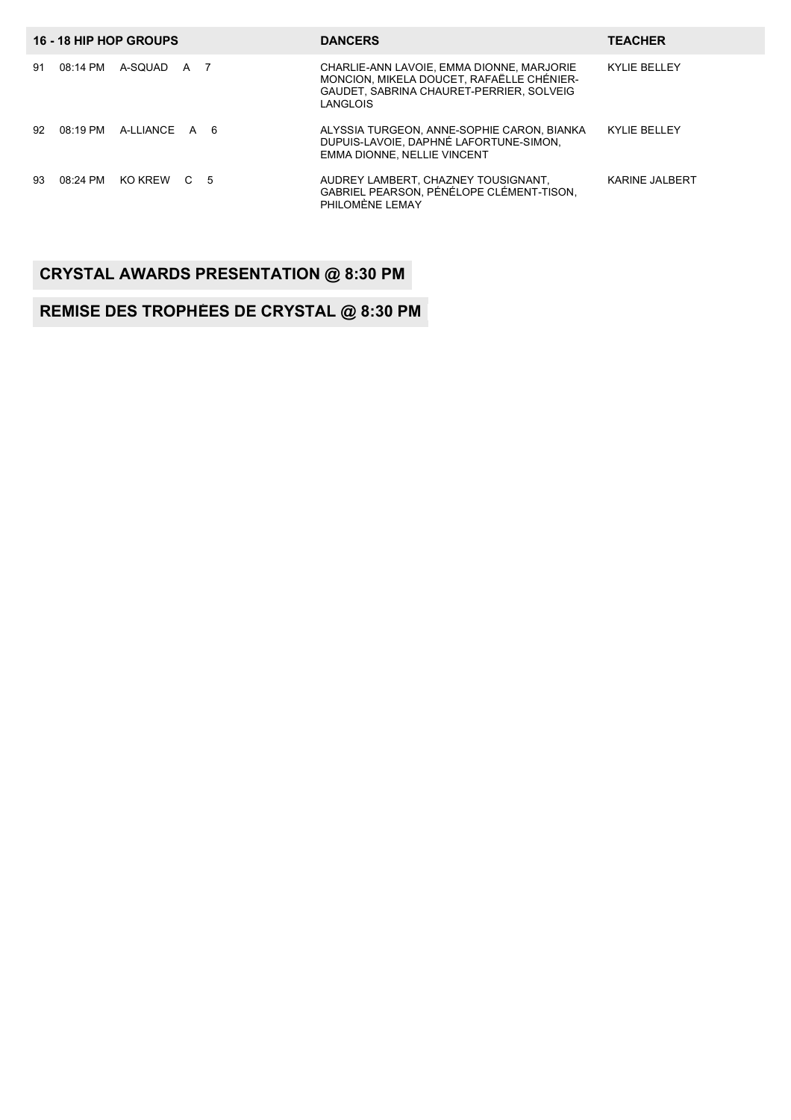| 16 - 18 HIP HOP GROUPS            | <b>DANCERS</b>                                                                                                                                 | <b>TEACHER</b>      |
|-----------------------------------|------------------------------------------------------------------------------------------------------------------------------------------------|---------------------|
| 08:14 PM<br>A-SOUAD<br>91<br>A    | CHARLIE-ANN LAVOIE, EMMA DIONNE, MARJORIE<br>MONCION. MIKELA DOUCET. RAFAËLLE CHÉNIER-<br>GAUDET, SABRINA CHAURET-PERRIER, SOLVEIG<br>LANGLOIS | <b>KYLIE BELLEY</b> |
| $08:19$ PM<br>A-LLIANCE A 6<br>92 | ALYSSIA TURGEON, ANNE-SOPHIE CARON, BIANKA<br>DUPUIS-LAVOIE. DAPHNÉ LAFORTUNE-SIMON.<br><b>EMMA DIONNE. NELLIE VINCENT</b>                     | <b>KYLIE BELLEY</b> |
| 93<br>08:24 PM<br>KO KRFW<br>C 5  | AUDREY LAMBERT, CHAZNEY TOUSIGNANT.<br>GABRIEL PEARSON, PÉNÉLOPE CLÉMENT-TISON,<br>PHILOMÈNE LEMAY                                             | KARINE JALBERT      |

### **CRYSTAL AWARDS PRESENTATION @ 8:30 PM**

#### **REMISE DES TROPHÉES DE CRYSTAL @ 8:30 PM**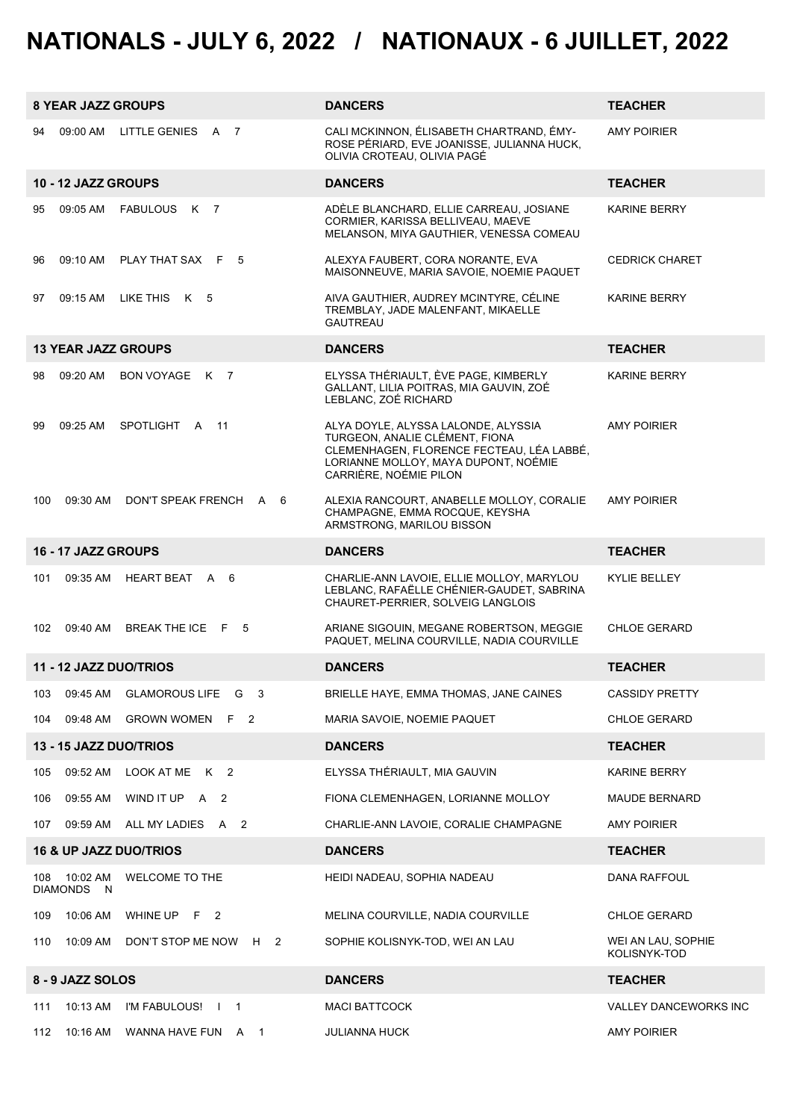# **NATIONALS - JULY 6, 2022 / NATIONAUX - 6 JUILLET, 2022**

|     | <b>8 YEAR JAZZ GROUPS</b> |                                   | <b>DANCERS</b>                                                                                                                                                                       | <b>TEACHER</b>                     |
|-----|---------------------------|-----------------------------------|--------------------------------------------------------------------------------------------------------------------------------------------------------------------------------------|------------------------------------|
| 94  | 09:00 AM                  | LITTLE GENIES A 7                 | CALI MCKINNON, ÉLISABETH CHARTRAND, ÉMY-<br>ROSE PÉRIARD, EVE JOANISSE, JULIANNA HUCK,<br>OLIVIA CROTEAU, OLIVIA PAGÉ                                                                | <b>AMY POIRIER</b>                 |
|     | 10 - 12 JAZZ GROUPS       |                                   | <b>DANCERS</b>                                                                                                                                                                       | <b>TEACHER</b>                     |
| 95  | 09:05 AM                  | FABULOUS K 7                      | ADELE BLANCHARD, ELLIE CARREAU, JOSIANE<br>CORMIER, KARISSA BELLIVEAU, MAEVE<br>MELANSON, MIYA GAUTHIER, VENESSA COMEAU                                                              | KARINE BERRY                       |
| 96  | 09:10 AM                  | PLAY THAT SAX F<br>- 5            | ALEXYA FAUBERT, CORA NORANTE, EVA<br>MAISONNEUVE, MARIA SAVOIE, NOEMIE PAQUET                                                                                                        | <b>CEDRICK CHARET</b>              |
| 97  | 09:15 AM                  | LIKE THISK 5                      | AIVA GAUTHIER, AUDREY MCINTYRE, CÉLINE<br>TREMBLAY, JADE MALENFANT, MIKAELLE<br><b>GAUTREAU</b>                                                                                      | <b>KARINE BERRY</b>                |
|     |                           | <b>13 YEAR JAZZ GROUPS</b>        | <b>DANCERS</b>                                                                                                                                                                       | <b>TEACHER</b>                     |
| 98  | 09:20 AM                  | BON VOYAGE K 7                    | ELYSSA THÉRIAULT, ÈVE PAGE, KIMBERLY<br>GALLANT, LILIA POITRAS, MIA GAUVIN, ZOÉ<br>LEBLANC, ZOÉ RICHARD                                                                              | <b>KARINE BERRY</b>                |
| 99  | 09:25 AM                  | SPOTLIGHT A<br>11                 | ALYA DOYLE, ALYSSA LALONDE, ALYSSIA<br>TURGEON, ANALIE CLÉMENT, FIONA<br>CLEMENHAGEN, FLORENCE FECTEAU, LÉA LABBÉ,<br>LORIANNE MOLLOY, MAYA DUPONT, NOÉMIE<br>CARRIÈRE, NOÉMIE PILON | <b>AMY POIRIER</b>                 |
| 100 | 09:30 AM                  | DON'T SPEAK FRENCH<br>A 6         | ALEXIA RANCOURT, ANABELLE MOLLOY, CORALIE<br>CHAMPAGNE, EMMA ROCQUE, KEYSHA<br>ARMSTRONG, MARILOU BISSON                                                                             | <b>AMY POIRIER</b>                 |
|     | 16 - 17 JAZZ GROUPS       |                                   | <b>DANCERS</b>                                                                                                                                                                       | <b>TEACHER</b>                     |
| 101 | 09:35 AM                  | HEART BEAT A 6                    | CHARLIE-ANN LAVOIE, ELLIE MOLLOY, MARYLOU<br>LEBLANC, RAFAËLLE CHÉNIER-GAUDET, SABRINA<br>CHAURET-PERRIER, SOLVEIG LANGLOIS                                                          | KYLIE BELLEY                       |
|     | 102 09:40 AM              | BREAK THE ICE F 5                 | ARIANE SIGOUIN, MEGANE ROBERTSON, MEGGIE<br>PAQUET, MELINA COURVILLE, NADIA COURVILLE                                                                                                | CHLOE GERARD                       |
|     |                           | 11 - 12 JAZZ DUO/TRIOS            | <b>DANCERS</b>                                                                                                                                                                       | <b>TEACHER</b>                     |
| 103 | 09:45 AM                  | GLAMOROUS LIFE G 3                | BRIELLE HAYE, EMMA THOMAS, JANE CAINES                                                                                                                                               | <b>CASSIDY PRETTY</b>              |
| 104 | 09:48 AM                  | GROWN WOMEN F 2                   | MARIA SAVOIE, NOEMIE PAQUET                                                                                                                                                          | CHLOE GERARD                       |
|     |                           | 13 - 15 JAZZ DUO/TRIOS            | <b>DANCERS</b>                                                                                                                                                                       | <b>TEACHER</b>                     |
| 105 | 09:52 AM                  | LOOK AT ME K 2                    | ELYSSA THÉRIAULT, MIA GAUVIN                                                                                                                                                         | KARINE BERRY                       |
| 106 | 09:55 AM                  | WIND IT UP A 2                    | FIONA CLEMENHAGEN, LORIANNE MOLLOY                                                                                                                                                   | <b>MAUDE BERNARD</b>               |
| 107 |                           | 09:59 AM ALL MY LADIES A 2        | CHARLIE-ANN LAVOIE, CORALIE CHAMPAGNE                                                                                                                                                | AMY POIRIER                        |
|     |                           | <b>16 &amp; UP JAZZ DUO/TRIOS</b> | <b>DANCERS</b>                                                                                                                                                                       | <b>TEACHER</b>                     |
| 108 | 10:02 AM<br>DIAMONDS N    | WELCOME TO THE                    | HEIDI NADEAU, SOPHIA NADEAU                                                                                                                                                          | DANA RAFFOUL                       |
| 109 | 10:06 AM                  | WHINE UP F 2                      | MELINA COURVILLE, NADIA COURVILLE                                                                                                                                                    | CHLOE GERARD                       |
| 110 | 10:09 AM                  | DON'T STOP ME NOW H 2             | SOPHIE KOLISNYK-TOD, WEI AN LAU                                                                                                                                                      | WEI AN LAU, SOPHIE<br>KOLISNYK-TOD |
|     | 8 - 9 JAZZ SOLOS          |                                   | <b>DANCERS</b>                                                                                                                                                                       | <b>TEACHER</b>                     |
| 111 | 10:13 AM                  | I'M FABULOUS!   1                 | <b>MACI BATTCOCK</b>                                                                                                                                                                 | <b>VALLEY DANCEWORKS INC</b>       |
| 112 | 10:16 AM                  | WANNA HAVE FUN A 1                | <b>JULIANNA HUCK</b>                                                                                                                                                                 | <b>AMY POIRIER</b>                 |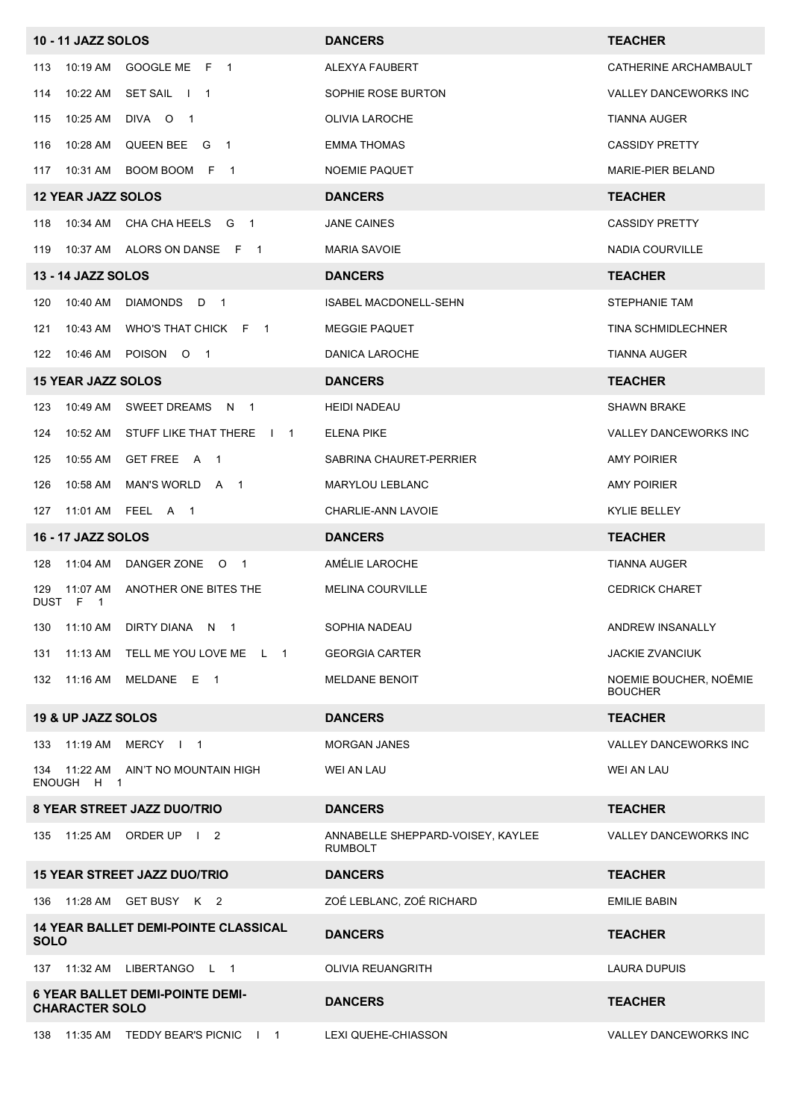|             | <b>10 - 11 JAZZ SOLOS</b> |                                             | <b>DANCERS</b>                                      | <b>TEACHER</b>                           |
|-------------|---------------------------|---------------------------------------------|-----------------------------------------------------|------------------------------------------|
| 113         | 10:19 AM                  | GOOGLE ME F 1                               | ALEXYA FAUBERT                                      | CATHERINE ARCHAMBAULT                    |
| 114         | 10:22 AM                  | SET SAIL   1                                | SOPHIE ROSE BURTON                                  | VALLEY DANCEWORKS INC                    |
| 115         | 10:25 AM                  | DIVA O<br>$\overline{1}$                    | OLIVIA LAROCHE                                      | <b>TIANNA AUGER</b>                      |
| 116         | 10:28 AM                  | QUEEN BEE G 1                               | <b>EMMA THOMAS</b>                                  | <b>CASSIDY PRETTY</b>                    |
| 117         | 10:31 AM                  | BOOM BOOM F 1                               | <b>NOEMIE PAQUET</b>                                | <b>MARIE-PIER BELAND</b>                 |
|             | <b>12 YEAR JAZZ SOLOS</b> |                                             | <b>DANCERS</b>                                      | <b>TEACHER</b>                           |
| 118         | 10:34 AM                  | CHA CHA HEELS G 1                           | <b>JANE CAINES</b>                                  | <b>CASSIDY PRETTY</b>                    |
| 119         |                           | 10:37 AM ALORS ON DANSE F 1                 | <b>MARIA SAVOIE</b>                                 | NADIA COURVILLE                          |
|             | <b>13 - 14 JAZZ SOLOS</b> |                                             | <b>DANCERS</b>                                      | <b>TEACHER</b>                           |
| 120         | 10:40 AM                  | <b>DIAMONDS</b><br>D.<br>$\overline{1}$     | ISABEL MACDONELL-SEHN                               | STEPHANIE TAM                            |
| 121         | 10:43 AM                  | WHO'S THAT CHICK F 1                        | <b>MEGGIE PAQUET</b>                                | TINA SCHMIDLECHNER                       |
| 122         | 10:46 AM                  | POISON O 1                                  | DANICA LAROCHE                                      | TIANNA AUGER                             |
|             | <b>15 YEAR JAZZ SOLOS</b> |                                             | <b>DANCERS</b>                                      | <b>TEACHER</b>                           |
| 123         | 10:49 AM                  | SWEET DREAMS N 1                            | <b>HEIDI NADEAU</b>                                 | <b>SHAWN BRAKE</b>                       |
| 124         | 10:52 AM                  | STUFF LIKE THAT THERE   1                   | <b>ELENA PIKE</b>                                   | VALLEY DANCEWORKS INC                    |
| 125         | 10:55 AM                  | GET FREE A 1                                | SABRINA CHAURET-PERRIER                             | <b>AMY POIRIER</b>                       |
| 126         | 10:58 AM                  | MAN'S WORLD A 1                             | <b>MARYLOU LEBLANC</b>                              | <b>AMY POIRIER</b>                       |
| 127         | 11:01 AM                  | FEEL A 1                                    | CHARLIE-ANN LAVOIE                                  | KYLIE BELLEY                             |
|             | <b>16 - 17 JAZZ SOLOS</b> |                                             | <b>DANCERS</b>                                      | <b>TEACHER</b>                           |
| 128         | 11:04 AM                  | DANGER ZONE 0 1                             | AMÉLIE LAROCHE                                      | <b>TIANNA AUGER</b>                      |
| 129         | 11:07 AM<br>DUST F 1      | ANOTHER ONE BITES THE                       | <b>MELINA COURVILLE</b>                             | <b>CEDRICK CHARET</b>                    |
|             |                           | 130 11:10 AM DIRTY DIANA N 1                | SOPHIA NADEAU                                       | ANDREW INSANALLY                         |
|             |                           | 131 11:13 AM TELL ME YOU LOVE ME L 1        | <b>GEORGIA CARTER</b>                               | <b>JACKIE ZVANCIUK</b>                   |
|             |                           | 132 11:16 AM MELDANE E 1                    | MELDANE BENOIT                                      | NOEMIE BOUCHER, NOËMIE<br><b>BOUCHER</b> |
|             | 19 & UP JAZZ SOLOS        |                                             | <b>DANCERS</b>                                      | <b>TEACHER</b>                           |
|             |                           | 133 11:19 AM MERCY I 1                      | <b>MORGAN JANES</b>                                 | VALLEY DANCEWORKS INC                    |
|             | ENOUGH H 1                | 134 11:22 AM AIN'T NO MOUNTAIN HIGH         | WEI AN LAU                                          | <b>WEI AN LAU</b>                        |
|             |                           | 8 YEAR STREET JAZZ DUO/TRIO                 | <b>DANCERS</b>                                      | <b>TEACHER</b>                           |
|             |                           | 135 11:25 AM ORDER UP   2                   | ANNABELLE SHEPPARD-VOISEY, KAYLEE<br><b>RUMBOLT</b> | VALLEY DANCEWORKS INC                    |
|             |                           | <b>15 YEAR STREET JAZZ DUO/TRIO</b>         | <b>DANCERS</b>                                      | <b>TEACHER</b>                           |
|             |                           | 136  11:28 AM  GET BUSY  K  2               | ZOÉ LEBLANC, ZOÉ RICHARD                            | <b>EMILIE BABIN</b>                      |
| <b>SOLO</b> |                           | <b>14 YEAR BALLET DEMI-POINTE CLASSICAL</b> | <b>DANCERS</b>                                      | <b>TEACHER</b>                           |
|             |                           | 137 11:32 AM LIBERTANGO L 1                 | <b>OLIVIA REUANGRITH</b>                            | LAURA DUPUIS                             |
|             | <b>CHARACTER SOLO</b>     | <b>6 YEAR BALLET DEMI-POINTE DEMI-</b>      | <b>DANCERS</b>                                      | <b>TEACHER</b>                           |
| 138         |                           | 11:35 AM TEDDY BEAR'S PICNIC I 1            | LEXI QUEHE-CHIASSON                                 | <b>VALLEY DANCEWORKS INC</b>             |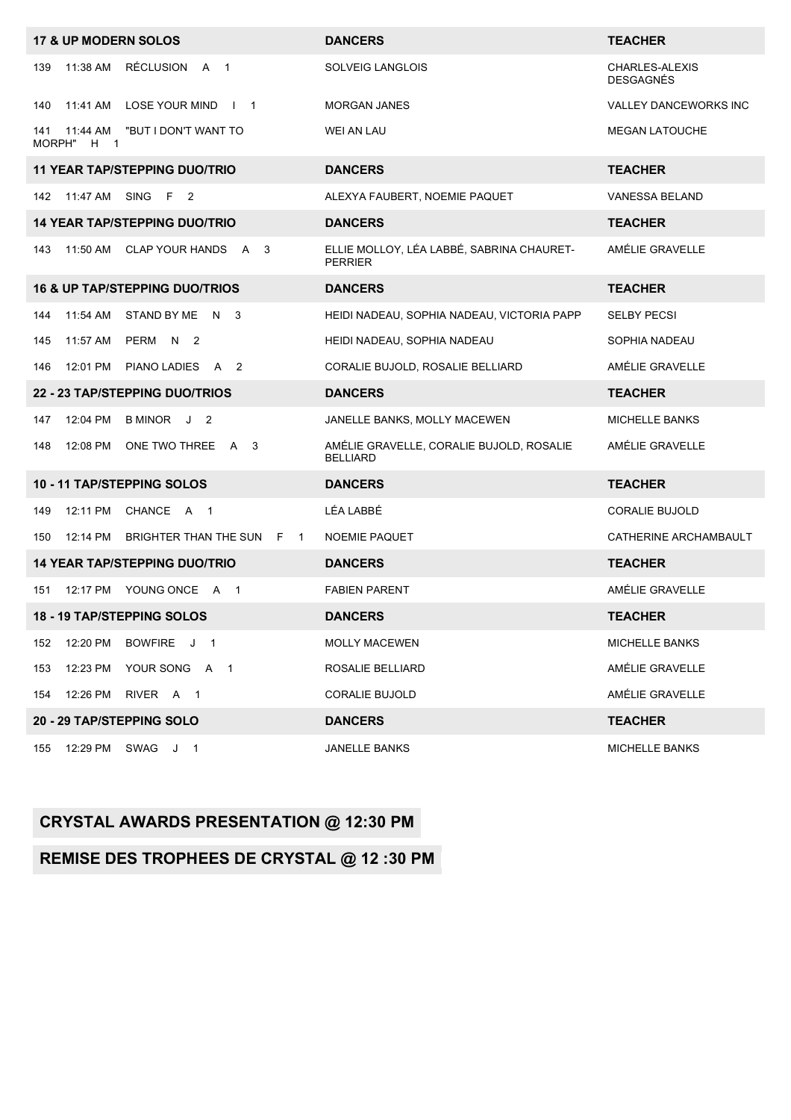|               |                                 | <b>17 &amp; UP MODERN SOLOS</b>           | <b>DANCERS</b>                                              | <b>TEACHER</b>                     |
|---------------|---------------------------------|-------------------------------------------|-------------------------------------------------------------|------------------------------------|
| 139           | 11:38 AM                        | RÉCLUSION A 1                             | SOLVEIG LANGLOIS                                            | CHARLES-ALEXIS<br><b>DESGAGNÉS</b> |
| 140           | 11:41 AM                        | LOSE YOUR MIND   1                        | <b>MORGAN JANES</b>                                         | <b>VALLEY DANCEWORKS INC</b>       |
| 141<br>MORPH" | 11:44 AM<br>H<br>$\overline{1}$ | "BUT I DON'T WANT TO                      | WEI AN LAU                                                  | <b>MEGAN LATOUCHE</b>              |
|               |                                 | <b>11 YEAR TAP/STEPPING DUO/TRIO</b>      | <b>DANCERS</b>                                              | <b>TEACHER</b>                     |
| 142           | 11:47 AM                        | SING F 2                                  | ALEXYA FAUBERT, NOEMIE PAQUET                               | VANESSA BELAND                     |
|               |                                 | <b>14 YEAR TAP/STEPPING DUO/TRIO</b>      | <b>DANCERS</b>                                              | <b>TEACHER</b>                     |
| 143           | 11:50 AM                        | CLAP YOUR HANDS A 3                       | ELLIE MOLLOY, LÉA LABBÉ, SABRINA CHAURET-<br><b>PERRIER</b> | AMÉLIE GRAVELLE                    |
|               |                                 | <b>16 &amp; UP TAP/STEPPING DUO/TRIOS</b> | <b>DANCERS</b>                                              | <b>TEACHER</b>                     |
| 144           | 11:54 AM                        | STAND BY ME N 3                           | HEIDI NADEAU, SOPHIA NADEAU, VICTORIA PAPP                  | <b>SELBY PECSI</b>                 |
| 145           | 11:57 AM                        | PERM N 2                                  | HEIDI NADEAU, SOPHIA NADEAU                                 | SOPHIA NADEAU                      |
| 146           |                                 | 12:01 PM PIANO LADIES A 2                 | CORALIE BUJOLD, ROSALIE BELLIARD                            | AMÉLIE GRAVELLE                    |
|               |                                 | 22 - 23 TAP/STEPPING DUO/TRIOS            | <b>DANCERS</b>                                              | <b>TEACHER</b>                     |
| 147           | 12:04 PM                        | B MINOR J 2                               | JANELLE BANKS, MOLLY MACEWEN                                | <b>MICHELLE BANKS</b>              |
| 148           | 12:08 PM                        | ONE TWO THREE A 3                         | AMÉLIE GRAVELLE, CORALIE BUJOLD, ROSALIE<br><b>BELLIARD</b> | AMÉLIE GRAVELLE                    |
|               |                                 | 10 - 11 TAP/STEPPING SOLOS                | <b>DANCERS</b>                                              | <b>TEACHER</b>                     |
| 149           | 12:11 PM                        | CHANCE A 1                                | LÉA LABBÉ                                                   | <b>CORALIE BUJOLD</b>              |
| 150           | 12:14 PM                        | BRIGHTER THAN THE SUN F<br>$\overline{1}$ | <b>NOEMIE PAQUET</b>                                        | CATHERINE ARCHAMBAULT              |
|               |                                 | <b>14 YEAR TAP/STEPPING DUO/TRIO</b>      | <b>DANCERS</b>                                              | <b>TEACHER</b>                     |
| 151           |                                 | 12:17 PM YOUNG ONCE A 1                   | <b>FABIEN PARENT</b>                                        | AMÉLIE GRAVELLE                    |
|               |                                 | <b>18 - 19 TAP/STEPPING SOLOS</b>         | <b>DANCERS</b>                                              | <b>TEACHER</b>                     |
| 152           | 12:20 PM                        | BOWFIRE J<br>$\overline{1}$               | <b>MOLLY MACEWEN</b>                                        | <b>MICHELLE BANKS</b>              |
| 153           | 12:23 PM                        | YOUR SONG A 1                             | ROSALIE BELLIARD                                            | AMÉLIE GRAVELLE                    |
| 154           | 12:26 PM                        | RIVER A<br>$\overline{\phantom{0}}$ 1     | <b>CORALIE BUJOLD</b>                                       | AMÉLIE GRAVELLE                    |
|               |                                 | 20 - 29 TAP/STEPPING SOLO                 | <b>DANCERS</b>                                              | <b>TEACHER</b>                     |
| 155           | 12:29 PM                        | SWAG J 1                                  | JANELLE BANKS                                               | <b>MICHELLE BANKS</b>              |

#### **CRYSTAL AWARDS PRESENTATION @ 12:30 PM**

### **REMISE DES TROPHÉES DE CRYSTAL @ 12 :30 PM**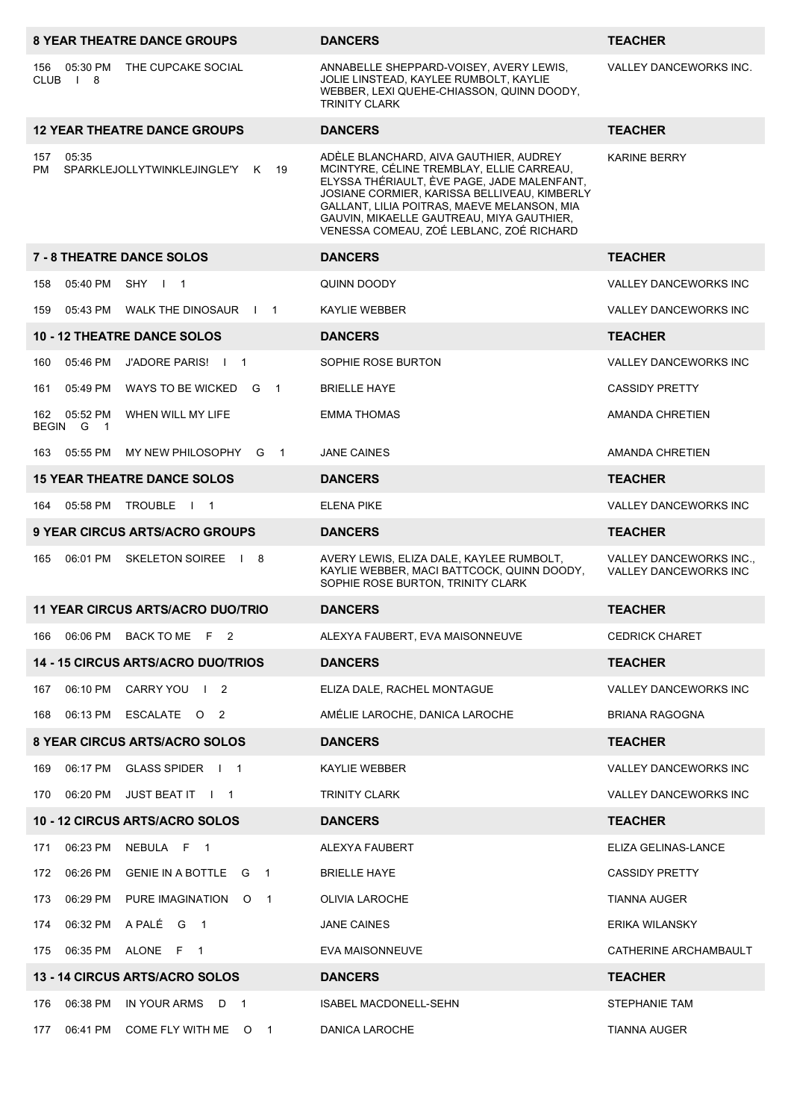|           |                                       | <b>8 YEAR THEATRE DANCE GROUPS</b>        | <b>DANCERS</b>                                                                                                                                                                                                                                                                                                             | <b>TEACHER</b>                                          |
|-----------|---------------------------------------|-------------------------------------------|----------------------------------------------------------------------------------------------------------------------------------------------------------------------------------------------------------------------------------------------------------------------------------------------------------------------------|---------------------------------------------------------|
| 156       | 05:30 PM<br>CLUB <sub>18</sub>        | THE CUPCAKE SOCIAL                        | ANNABELLE SHEPPARD-VOISEY, AVERY LEWIS,<br>JOLIE LINSTEAD, KAYLEE RUMBOLT, KAYLIE<br>WEBBER, LEXI QUEHE-CHIASSON, QUINN DOODY,<br><b>TRINITY CLARK</b>                                                                                                                                                                     | VALLEY DANCEWORKS INC.                                  |
|           |                                       | <b>12 YEAR THEATRE DANCE GROUPS</b>       | <b>DANCERS</b>                                                                                                                                                                                                                                                                                                             | <b>TEACHER</b>                                          |
| 157<br>PM | 05:35                                 | SPARKLEJOLLYTWINKLEJINGLE'Y K<br>19       | ADÈLE BLANCHARD, AIVA GAUTHIER, AUDREY<br>MCINTYRE, CÉLINE TREMBLAY, ELLIE CARREAU,<br>ELYSSA THÉRIAULT, ÈVE PAGE, JADE MALENFANT,<br>JOSIANE CORMIER, KARISSA BELLIVEAU, KIMBERLY<br>GALLANT, LILIA POITRAS, MAEVE MELANSON, MIA<br>GAUVIN, MIKAELLE GAUTREAU, MIYA GAUTHIER,<br>VENESSA COMEAU, ZOÉ LEBLANC, ZOÉ RICHARD | <b>KARINE BERRY</b>                                     |
|           |                                       | <b>7 - 8 THEATRE DANCE SOLOS</b>          | <b>DANCERS</b>                                                                                                                                                                                                                                                                                                             | <b>TEACHER</b>                                          |
| 158       | 05:40 PM                              | SHY I 1                                   | QUINN DOODY                                                                                                                                                                                                                                                                                                                | VALLEY DANCEWORKS INC                                   |
| 159       | 05:43 PM                              | WALK THE DINOSAUR   1                     | KAYLIE WEBBER                                                                                                                                                                                                                                                                                                              | VALLEY DANCEWORKS INC                                   |
|           |                                       | <b>10 - 12 THEATRE DANCE SOLOS</b>        | <b>DANCERS</b>                                                                                                                                                                                                                                                                                                             | <b>TEACHER</b>                                          |
| 160       | 05:46 PM                              | J'ADORE PARIS! I<br>$\overline{1}$        | SOPHIE ROSE BURTON                                                                                                                                                                                                                                                                                                         | <b>VALLEY DANCEWORKS INC</b>                            |
| 161       | 05:49 PM                              | WAYS TO BE WICKED G 1                     | <b>BRIELLE HAYE</b>                                                                                                                                                                                                                                                                                                        | <b>CASSIDY PRETTY</b>                                   |
| 162       | 05:52 PM<br>BEGIN G<br>$\overline{1}$ | WHEN WILL MY LIFE                         | <b>EMMA THOMAS</b>                                                                                                                                                                                                                                                                                                         | AMANDA CHRETIEN                                         |
|           | 163 05:55 PM                          | MY NEW PHILOSOPHY<br>G<br>$\overline{1}$  | <b>JANE CAINES</b>                                                                                                                                                                                                                                                                                                         | AMANDA CHRETIEN                                         |
|           |                                       | <b>15 YEAR THEATRE DANCE SOLOS</b>        | <b>DANCERS</b>                                                                                                                                                                                                                                                                                                             | <b>TEACHER</b>                                          |
| 164       | 05:58 PM                              | <b>TROUBLE</b><br>$\mathbf{I}$<br>- 1     | <b>ELENA PIKE</b>                                                                                                                                                                                                                                                                                                          | <b>VALLEY DANCEWORKS INC</b>                            |
|           |                                       | 9 YEAR CIRCUS ARTS/ACRO GROUPS            | <b>DANCERS</b>                                                                                                                                                                                                                                                                                                             | <b>TEACHER</b>                                          |
| 165       | 06:01 PM                              | <b>SKELETON SOIREE</b><br>-8              | AVERY LEWIS, ELIZA DALE, KAYLEE RUMBOLT,<br>KAYLIE WEBBER, MACI BATTCOCK, QUINN DOODY,<br>SOPHIE ROSE BURTON. TRINITY CLARK                                                                                                                                                                                                | VALLEY DANCEWORKS INC.,<br><b>VALLEY DANCEWORKS INC</b> |
|           |                                       | <b>11 YEAR CIRCUS ARTS/ACRO DUO/TRIO</b>  | <b>DANCERS</b>                                                                                                                                                                                                                                                                                                             | <b>TEACHER</b>                                          |
| 166       | 06:06 PM                              | BACK TO ME F 2                            | ALEXYA FAUBERT, EVA MAISONNEUVE                                                                                                                                                                                                                                                                                            | <b>CEDRICK CHARET</b>                                   |
|           |                                       | <b>14 - 15 CIRCUS ARTS/ACRO DUO/TRIOS</b> | <b>DANCERS</b>                                                                                                                                                                                                                                                                                                             | <b>TEACHER</b>                                          |
| 167       | 06:10 PM                              | CARRY YOU   2                             | ELIZA DALE, RACHEL MONTAGUE                                                                                                                                                                                                                                                                                                | VALLEY DANCEWORKS INC                                   |
| 168       |                                       | 06:13 PM ESCALATE O 2                     | AMÉLIE LAROCHE, DANICA LAROCHE                                                                                                                                                                                                                                                                                             | <b>BRIANA RAGOGNA</b>                                   |
|           |                                       | 8 YEAR CIRCUS ARTS/ACRO SOLOS             | <b>DANCERS</b>                                                                                                                                                                                                                                                                                                             | <b>TEACHER</b>                                          |
| 169       | 06:17 PM                              | GLASS SPIDER   1                          | KAYLIE WEBBER                                                                                                                                                                                                                                                                                                              | <b>VALLEY DANCEWORKS INC</b>                            |
| 170       |                                       | 06:20 PM JUST BEAT IT   1                 | <b>TRINITY CLARK</b>                                                                                                                                                                                                                                                                                                       | <b>VALLEY DANCEWORKS INC</b>                            |
|           |                                       | 10 - 12 CIRCUS ARTS/ACRO SOLOS            | <b>DANCERS</b>                                                                                                                                                                                                                                                                                                             | <b>TEACHER</b>                                          |
| 171       | 06:23 PM                              | NEBULA F 1                                | ALEXYA FAUBERT                                                                                                                                                                                                                                                                                                             | ELIZA GELINAS-LANCE                                     |
| 172       | 06:26 PM                              | GENIE IN A BOTTLE G 1                     | <b>BRIELLE HAYE</b>                                                                                                                                                                                                                                                                                                        | <b>CASSIDY PRETTY</b>                                   |
| 173       | 06:29 PM                              | PURE IMAGINATION O 1                      | OLIVIA LAROCHE                                                                                                                                                                                                                                                                                                             | TIANNA AUGER                                            |
| 174       |                                       | 06:32 PM A PALÉ G 1                       | JANE CAINES                                                                                                                                                                                                                                                                                                                | ERIKA WILANSKY                                          |
| 175       |                                       | 06:35 PM ALONE F 1                        | EVA MAISONNEUVE                                                                                                                                                                                                                                                                                                            | CATHERINE ARCHAMBAULT                                   |
|           |                                       | 13 - 14 CIRCUS ARTS/ACRO SOLOS            | <b>DANCERS</b>                                                                                                                                                                                                                                                                                                             | <b>TEACHER</b>                                          |
| 176       | 06:38 PM                              | IN YOUR ARMS D 1                          | ISABEL MACDONELL-SEHN                                                                                                                                                                                                                                                                                                      | STEPHANIE TAM                                           |
| 177       | 06:41 PM                              | COME FLY WITH ME O 1                      | DANICA LAROCHE                                                                                                                                                                                                                                                                                                             | TIANNA AUGER                                            |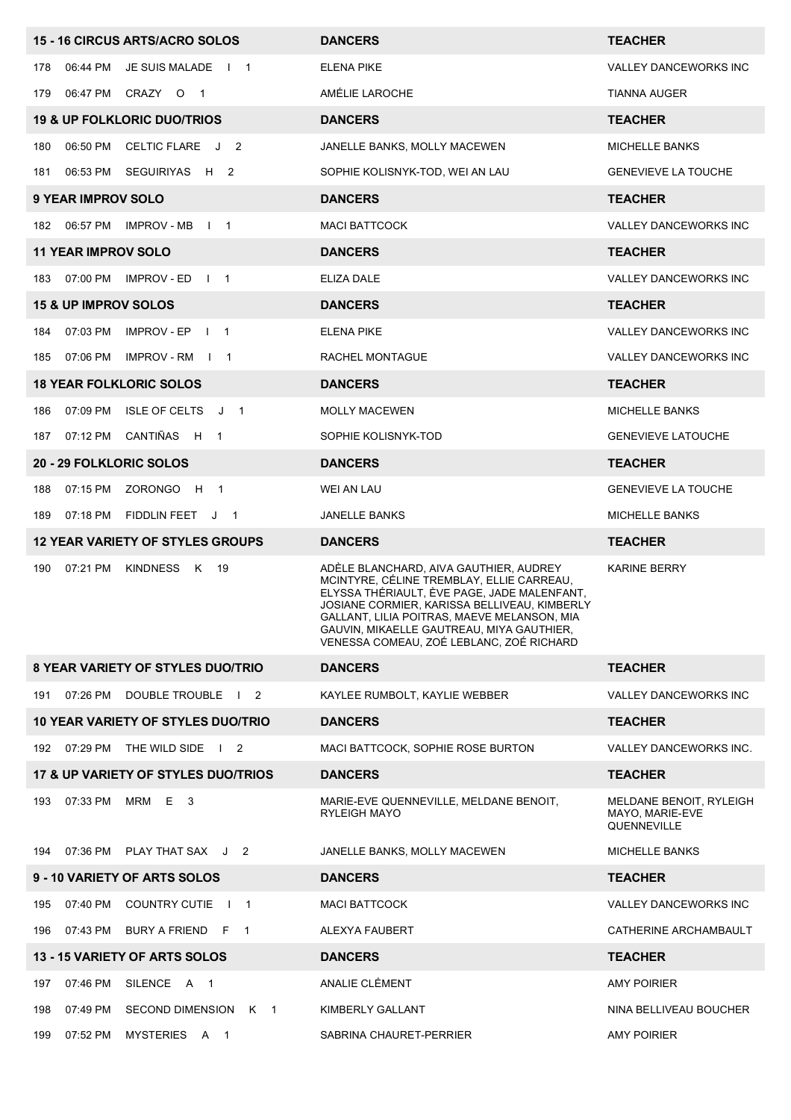| 15 - 16 CIRCUS ARTS/ACRO SOLOS                                            | <b>DANCERS</b>                                                                                                                                                                                                                                                                                                             | <b>TEACHER</b>                                            |
|---------------------------------------------------------------------------|----------------------------------------------------------------------------------------------------------------------------------------------------------------------------------------------------------------------------------------------------------------------------------------------------------------------------|-----------------------------------------------------------|
| 06:44 PM<br>JE SUIS MALADE   1<br>178                                     | <b>ELENA PIKE</b>                                                                                                                                                                                                                                                                                                          | VALLEY DANCEWORKS INC                                     |
| 06:47 PM CRAZY O 1<br>179                                                 | AMÉLIE LAROCHE                                                                                                                                                                                                                                                                                                             | TIANNA AUGER                                              |
| <b>19 &amp; UP FOLKLORIC DUO/TRIOS</b>                                    | <b>DANCERS</b>                                                                                                                                                                                                                                                                                                             | <b>TEACHER</b>                                            |
| 06:50 PM<br>CELTIC FLARE J 2<br>180                                       | JANELLE BANKS, MOLLY MACEWEN                                                                                                                                                                                                                                                                                               | <b>MICHELLE BANKS</b>                                     |
| 06:53 PM SEGUIRIYAS H 2<br>181                                            | SOPHIE KOLISNYK-TOD, WEI AN LAU                                                                                                                                                                                                                                                                                            | <b>GENEVIEVE LA TOUCHE</b>                                |
| <b>9 YEAR IMPROV SOLO</b>                                                 | <b>DANCERS</b>                                                                                                                                                                                                                                                                                                             | <b>TEACHER</b>                                            |
| 06:57 PM<br>IMPROV - MB<br>$\sqrt{1}$ 1<br>182                            | <b>MACI BATTCOCK</b>                                                                                                                                                                                                                                                                                                       | <b>VALLEY DANCEWORKS INC</b>                              |
| <b>11 YEAR IMPROV SOLO</b>                                                | <b>DANCERS</b>                                                                                                                                                                                                                                                                                                             | <b>TEACHER</b>                                            |
| 07:00 PM<br>IMPROV - ED<br>183<br>$\begin{array}{ccc} \end{array}$        | ELIZA DALE                                                                                                                                                                                                                                                                                                                 | <b>VALLEY DANCEWORKS INC</b>                              |
| <b>15 &amp; UP IMPROV SOLOS</b>                                           | <b>DANCERS</b>                                                                                                                                                                                                                                                                                                             | <b>TEACHER</b>                                            |
| 07:03 PM<br>IMPROV - EP<br>$\overline{1}$ 1<br>184                        | <b>ELENA PIKE</b>                                                                                                                                                                                                                                                                                                          | <b>VALLEY DANCEWORKS INC</b>                              |
| 07:06 PM<br>IMPROV-RM I 1<br>185                                          | RACHEL MONTAGUE                                                                                                                                                                                                                                                                                                            | VALLEY DANCEWORKS INC                                     |
| <b>18 YEAR FOLKLORIC SOLOS</b>                                            | <b>DANCERS</b>                                                                                                                                                                                                                                                                                                             | <b>TEACHER</b>                                            |
| 07:09 PM<br><b>ISLE OF CELTS</b><br>186<br>J<br>$\overline{1}$            | <b>MOLLY MACEWEN</b>                                                                                                                                                                                                                                                                                                       | <b>MICHELLE BANKS</b>                                     |
| CANTIÑAS H<br>07:12 PM<br>187<br>$\mathbf{1}$                             | SOPHIE KOLISNYK-TOD                                                                                                                                                                                                                                                                                                        | <b>GENEVIEVE LATOUCHE</b>                                 |
| <b>20 - 29 FOLKLORIC SOLOS</b>                                            | <b>DANCERS</b>                                                                                                                                                                                                                                                                                                             | <b>TEACHER</b>                                            |
| 07:15 PM<br>ZORONGO H<br>188<br>$\overline{1}$                            | WEI AN LAU                                                                                                                                                                                                                                                                                                                 | <b>GENEVIEVE LA TOUCHE</b>                                |
| 07:18 PM<br>FIDDLIN FEET<br>189<br>J <sub>1</sub>                         | <b>JANELLE BANKS</b>                                                                                                                                                                                                                                                                                                       | <b>MICHELLE BANKS</b>                                     |
| <b>12 YEAR VARIETY OF STYLES GROUPS</b>                                   | <b>DANCERS</b>                                                                                                                                                                                                                                                                                                             | <b>TEACHER</b>                                            |
| 07:21 PM<br>KINDNESS<br>190<br>K<br>19                                    | ADÈLE BLANCHARD, AIVA GAUTHIER, AUDREY<br>MCINTYRE, CÉLINE TREMBLAY, ELLIE CARREAU,<br>ELYSSA THÉRIAULT, ÈVE PAGE, JADE MALENFANT,<br>JOSIANE CORMIER, KARISSA BELLIVEAU, KIMBERLY<br>GALLANT, LILIA POITRAS, MAEVE MELANSON, MIA<br>GAUVIN. MIKAELLE GAUTREAU. MIYA GAUTHIER.<br>VENESSA COMEAU, ZOÉ LEBLANC, ZOÉ RICHARD | <b>KARINE BERRY</b>                                       |
| <b>8 YEAR VARIETY OF STYLES DUO/TRIO</b>                                  | <b>DANCERS</b>                                                                                                                                                                                                                                                                                                             | <b>TEACHER</b>                                            |
| 07:26 PM<br>DOUBLE TROUBLE   2<br>191                                     | KAYLEE RUMBOLT, KAYLIE WEBBER                                                                                                                                                                                                                                                                                              | VALLEY DANCEWORKS INC                                     |
| <b>10 YEAR VARIETY OF STYLES DUO/TRIO</b>                                 | <b>DANCERS</b>                                                                                                                                                                                                                                                                                                             | <b>TEACHER</b>                                            |
| 192 07:29 PM<br>THE WILD SIDE   2                                         | MACI BATTCOCK, SOPHIE ROSE BURTON                                                                                                                                                                                                                                                                                          | VALLEY DANCEWORKS INC.                                    |
| 17 & UP VARIETY OF STYLES DUO/TRIOS                                       | <b>DANCERS</b>                                                                                                                                                                                                                                                                                                             | <b>TEACHER</b>                                            |
| 07:33 PM<br>MRM<br>E<br>193<br>- 3                                        | MARIE-EVE QUENNEVILLE, MELDANE BENOIT,<br><b>RYLEIGH MAYO</b>                                                                                                                                                                                                                                                              | MELDANE BENOIT, RYLEIGH<br>MAYO, MARIE-EVE<br>QUENNEVILLE |
| 07:36 PM PLAY THAT SAX J 2<br>194                                         | JANELLE BANKS, MOLLY MACEWEN                                                                                                                                                                                                                                                                                               | <b>MICHELLE BANKS</b>                                     |
| 9 - 10 VARIETY OF ARTS SOLOS                                              | <b>DANCERS</b>                                                                                                                                                                                                                                                                                                             | <b>TEACHER</b>                                            |
| 07:40 PM<br><b>COUNTRY CUTIE</b><br>195<br>$\overline{1}$<br>$\mathbf{I}$ | <b>MACI BATTCOCK</b>                                                                                                                                                                                                                                                                                                       | VALLEY DANCEWORKS INC                                     |
| 07:43 PM<br>BURY A FRIEND F 1<br>196                                      | ALEXYA FAUBERT                                                                                                                                                                                                                                                                                                             | CATHERINE ARCHAMBAULT                                     |
| <b>13 - 15 VARIETY OF ARTS SOLOS</b>                                      | <b>DANCERS</b>                                                                                                                                                                                                                                                                                                             | <b>TEACHER</b>                                            |
| 07:46 PM<br>SILENCE A 1<br>197                                            | ANALIE CLÉMENT                                                                                                                                                                                                                                                                                                             | <b>AMY POIRIER</b>                                        |
| 07:49 PM<br>SECOND DIMENSION K 1<br>198                                   | KIMBERLY GALLANT                                                                                                                                                                                                                                                                                                           | NINA BELLIVEAU BOUCHER                                    |
| 07:52 PM<br>MYSTERIES A 1<br>199                                          | SABRINA CHAURET-PERRIER                                                                                                                                                                                                                                                                                                    | <b>AMY POIRIER</b>                                        |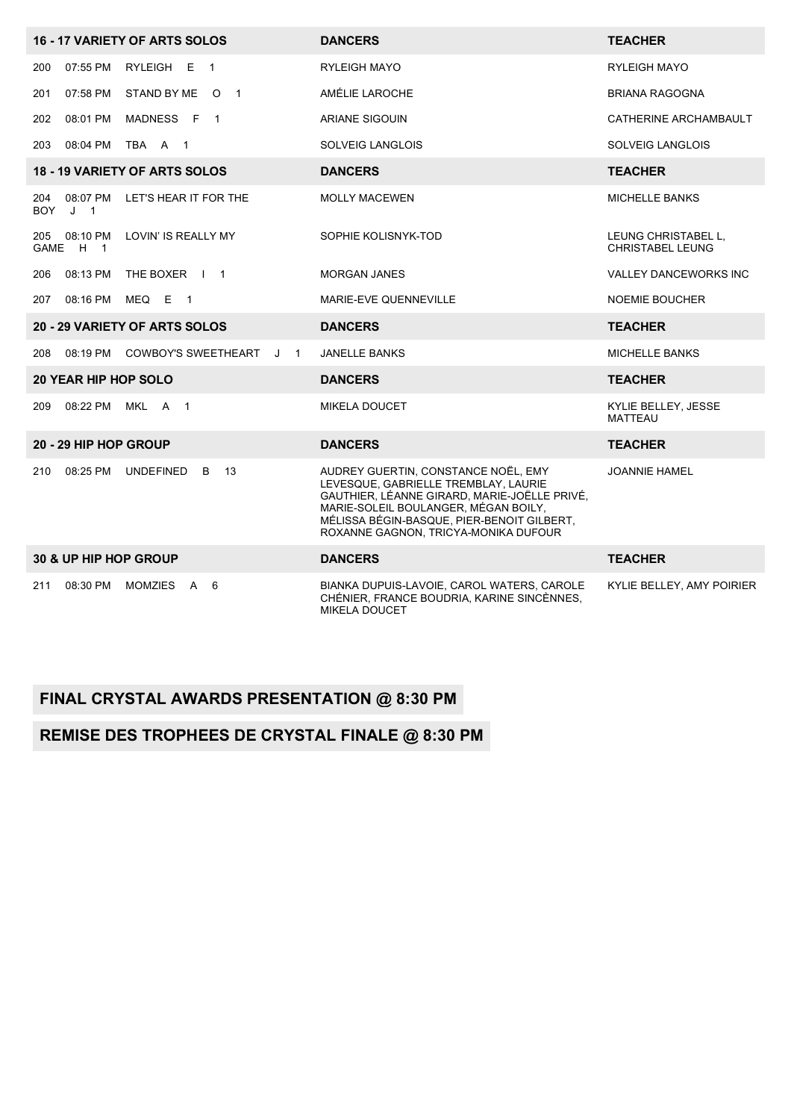|                                          | 16 - 17 VARIETY OF ARTS SOLOS              | <b>DANCERS</b>                                                                                                                                                                                                                                            | <b>TEACHER</b>                                 |
|------------------------------------------|--------------------------------------------|-----------------------------------------------------------------------------------------------------------------------------------------------------------------------------------------------------------------------------------------------------------|------------------------------------------------|
| 07:55 PM<br>200                          | RYLEIGH E 1                                | <b>RYLEIGH MAYO</b>                                                                                                                                                                                                                                       | <b>RYLEIGH MAYO</b>                            |
| 07:58 PM<br>201                          | STAND BY ME O 1                            | AMÉLIE LAROCHE                                                                                                                                                                                                                                            | <b>BRIANA RAGOGNA</b>                          |
| 08:01 PM<br>202                          | MADNESS F 1                                | ARIANE SIGOUIN                                                                                                                                                                                                                                            | CATHERINE ARCHAMBAULT                          |
| 08:04 PM<br>203                          | TBA A 1                                    | <b>SOLVEIG LANGLOIS</b>                                                                                                                                                                                                                                   | <b>SOLVEIG LANGLOIS</b>                        |
|                                          | <b>18 - 19 VARIETY OF ARTS SOLOS</b>       | <b>DANCERS</b>                                                                                                                                                                                                                                            | <b>TEACHER</b>                                 |
| 08:07 PM<br>204<br>J <sub>1</sub><br>BOY | LET'S HEAR IT FOR THE                      | <b>MOLLY MACEWEN</b>                                                                                                                                                                                                                                      | <b>MICHELLE BANKS</b>                          |
| 205 08:10 PM<br>GAME H 1                 | LOVIN' IS REALLY MY                        | SOPHIE KOLISNYK-TOD                                                                                                                                                                                                                                       | LEUNG CHRISTABEL L.<br><b>CHRISTABEL LEUNG</b> |
| 206<br>08:13 PM                          | THE BOXER   1                              | <b>MORGAN JANES</b>                                                                                                                                                                                                                                       | <b>VALLEY DANCEWORKS INC</b>                   |
| 207<br>08:16 PM                          | MEQ E<br>$\overline{1}$                    | MARIE-EVE QUENNEVILLE                                                                                                                                                                                                                                     | <b>NOEMIE BOUCHER</b>                          |
|                                          | 20 - 29 VARIETY OF ARTS SOLOS              | <b>DANCERS</b>                                                                                                                                                                                                                                            | <b>TEACHER</b>                                 |
| 08:19 PM<br>208                          | COWBOY'S SWEETHEART<br>J<br>$\overline{1}$ | <b>JANELLE BANKS</b>                                                                                                                                                                                                                                      | <b>MICHELLE BANKS</b>                          |
| <b>20 YEAR HIP HOP SOLO</b>              |                                            | <b>DANCERS</b>                                                                                                                                                                                                                                            | <b>TEACHER</b>                                 |
| 08:22 PM<br>209                          | MKL A 1                                    | <b>MIKELA DOUCET</b>                                                                                                                                                                                                                                      | KYLIE BELLEY, JESSE<br>MATTEAU                 |
| 20 - 29 HIP HOP GROUP                    |                                            | <b>DANCERS</b>                                                                                                                                                                                                                                            | <b>TEACHER</b>                                 |
| 08:25 PM<br>210                          | <b>UNDEFINED</b><br>13<br>B                | AUDREY GUERTIN, CONSTANCE NOËL, EMY<br>LEVESQUE, GABRIELLE TREMBLAY, LAURIE<br>GAUTHIER, LÉANNE GIRARD, MARIE-JOËLLE PRIVÉ,<br>MARIE-SOLEIL BOULANGER, MÉGAN BOILY,<br>MÉLISSA BÉGIN-BASQUE, PIER-BENOIT GILBERT,<br>ROXANNE GAGNON, TRICYA-MONIKA DUFOUR | <b>JOANNIE HAMEL</b>                           |
| 30 & UP HIP HOP GROUP                    |                                            | <b>DANCERS</b>                                                                                                                                                                                                                                            | <b>TEACHER</b>                                 |
| 211<br>08:30 PM                          | MOMZIES A 6                                | BIANKA DUPUIS-LAVOIE, CAROL WATERS, CAROLE<br>CHÉNIER, FRANCE BOUDRIA, KARINE SINCÈNNES,<br><b>MIKELA DOUCET</b>                                                                                                                                          | KYLIE BELLEY, AMY POIRIER                      |

#### **FINAL CRYSTAL AWARDS PRESENTATION @ 8:30 PM**

### **REMISE DES TROPHÉES DE CRYSTAL FINALE @ 8:30 PM**